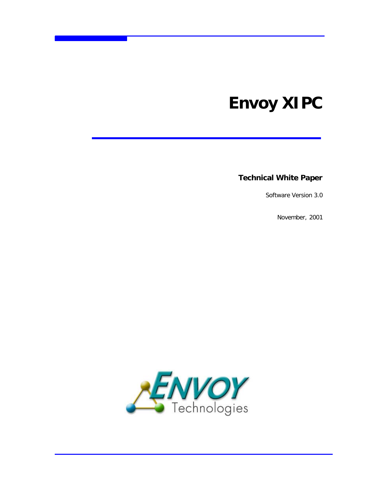# **Envoy XIPC**

**Technical White Paper**

Software Version 3.0

November, 2001

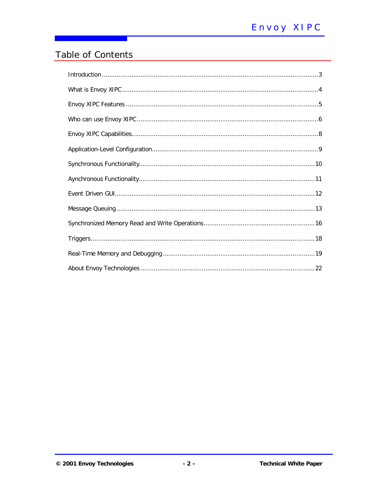# Table of Contents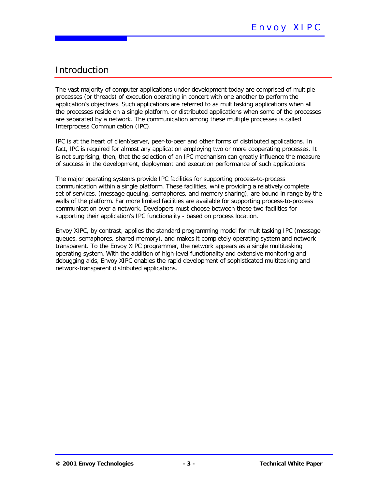# Introduction

The vast majority of computer applications under development today are comprised of multiple processes (or threads) of execution operating in concert with one another to perform the application's objectives. Such applications are referred to as multitasking applications when all the processes reside on a single platform, or distributed applications when some of the processes are separated by a network. The communication among these multiple processes is called Interprocess Communication (IPC).

IPC is at the heart of client/server, peer-to-peer and other forms of distributed applications. In fact, IPC is required for almost any application employing two or more cooperating processes. It is not surprising, then, that the selection of an IPC mechanism can greatly influence the measure of success in the development, deployment and execution performance of such applications.

The major operating systems provide IPC facilities for supporting process-to-process communication within a single platform. These facilities, while providing a relatively complete set of services, (message queuing, semaphores, and memory sharing), are bound in range by the walls of the platform. Far more limited facilities are available for supporting process-to-process communication over a network. Developers must choose between these two facilities for supporting their application's IPC functionality - based on process location.

Envoy XIPC, by contrast, applies the standard programming model for multitasking IPC (message queues, semaphores, shared memory), and makes it completely operating system and network transparent. To the Envoy XIPC programmer, the network appears as a single multitasking operating system. With the addition of high-level functionality and extensive monitoring and debugging aids, Envoy XIPC enables the rapid development of sophisticated multitasking and network-transparent distributed applications.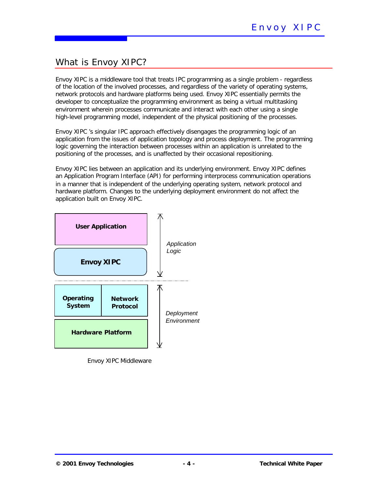# What is Envoy XIPC?

Envoy XIPC is a middleware tool that treats IPC programming as a single problem - regardless of the location of the involved processes, and regardless of the variety of operating systems, network protocols and hardware platforms being used. Envoy XIPC essentially permits the developer to conceptualize the programming environment as being a virtual multitasking environment wherein processes communicate and interact with each other using a *single* high-level programming model, independent of the physical positioning of the processes.

Envoy XIPC 's singular IPC approach effectively disengages the programming logic of an application from the issues of application topology and process deployment. The programming logic governing the interaction between processes within an application is unrelated to the positioning of the processes, and is unaffected by their occasional repositioning.

Envoy XIPC lies between an application and its underlying environment. Envoy XIPC defines an Application Program Interface (API) for performing interprocess communication operations in a manner that is independent of the underlying operating system, network protocol and hardware platform. Changes to the underlying deployment environment do not affect the application built on Envoy XIPC.



Envoy XIPC Middleware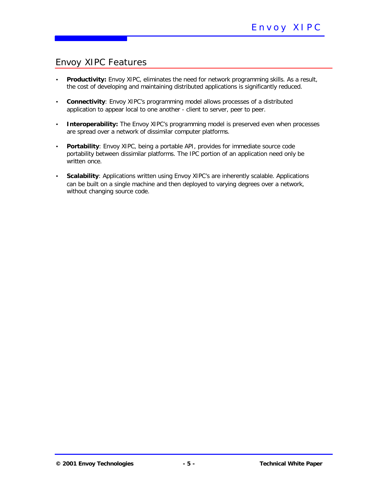# Envoy XIPC Features

- *Productivity:* Envoy XIPC, eliminates the need for network programming skills. As a result, the cost of developing and maintaining distributed applications is significantly reduced.
- *Connectivity*: Envoy XIPC's programming model allows processes of a distributed application to appear local to one another - client to server, peer to peer.
- **Interoperability:** The Envoy XIPC's programming model is preserved even when processes are spread over a network of dissimilar computer platforms.
- *Portability*: Envoy XIPC, being a portable API, provides for immediate source code portability between dissimilar platforms. The IPC portion of an application need only be written once.
- *Scalability*: Applications written using Envoy XIPC's are inherently scalable. Applications can be built on a single machine and then deployed to varying degrees over a network, without changing source code.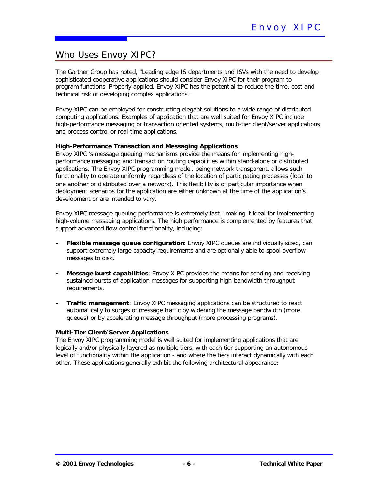# Who Uses Envoy XIPC?

The Gartner Group has noted, "Leading edge IS departments and ISVs with the need to develop sophisticated cooperative applications should consider Envoy XIPC for their program to program functions. Properly applied, Envoy XIPC has the potential to reduce the time, cost and technical risk of developing complex applications."

Envoy XIPC can be employed for constructing elegant solutions to a wide range of distributed computing applications. Examples of application that are well suited for Envoy XIPC include high-performance messaging or transaction oriented systems, multi-tier client/server applications and process control or real-time applications.

### **High-Performance Transaction and Messaging Applications**

Envoy XIPC 's message queuing mechanisms provide the means for implementing highperformance messaging and transaction routing capabilities within stand-alone or distributed applications. The Envoy XIPC programming model, being network transparent, allows such functionality to operate uniformly regardless of the location of participating processes (local to one another or distributed over a network). This flexibility is of particular importance when deployment scenarios for the application are either unknown at the time of the application's development or are intended to vary.

Envoy XIPC message queuing performance is extremely fast - making it ideal for implementing high-volume messaging applications. The high performance is complemented by features that support advanced flow-control functionality, including:

- *Flexible message queue configuration*: Envoy XIPC queues are individually sized, can support extremely large capacity requirements and are optionally able to spool overflow messages to disk.
- *Message burst capabilities*: Envoy XIPC provides the means for sending and receiving sustained bursts of application messages for supporting high-bandwidth throughput requirements.
- *Traffic management*: Envoy XIPC messaging applications can be structured to react automatically to surges of message traffic by widening the message bandwidth (more queues) or by accelerating message throughput (more processing programs).

### **Multi-Tier Client/Server Applications**

The Envoy XIPC programming model is well suited for implementing applications that are logically and/or physically layered as multiple tiers, with each tier supporting an autonomous level of functionality within the application - and where the tiers interact dynamically with each other. These applications generally exhibit the following architectural appearance: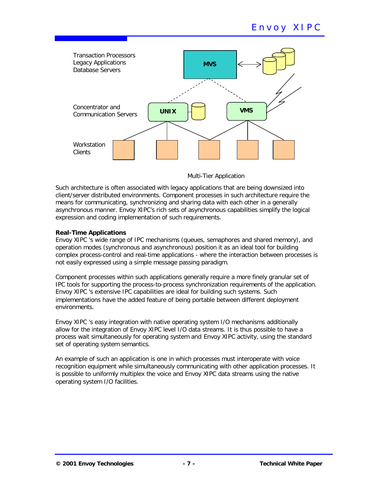

### Multi-Tier Application

Such architecture is often associated with legacy applications that are being downsized into client/server distributed environments. Component processes in such architecture require the means for communicating, synchronizing and sharing data with each other in a generally asynchronous manner. Envoy XIPC's rich sets of asynchronous capabilities simplify the logical expression and coding implementation of such requirements.

### **Real-Time Applications**

Envoy XIPC 's wide range of IPC mechanisms (queues, semaphores and shared memory), and operation modes (synchronous and asynchronous) position it as an ideal tool for building complex process-control and real-time applications - where the interaction between processes is not easily expressed using a simple message passing paradigm.

Component processes within such applications generally require a more finely granular set of IPC tools for supporting the process-to-process synchronization requirements of the application. Envoy XIPC 's extensive IPC capabilities are ideal for building such systems. Such implementations have the added feature of being portable between different deployment environments.

Envoy XIPC 's easy integration with native operating system I/O mechanisms additionally allow for the integration of Envoy XIPC level I/O data streams. It is thus possible to have a process wait simultaneously for operating system *and* Envoy XIPC activity, using the standard set of operating system semantics.

An example of such an application is one in which processes must interoperate with voice recognition equipment while simultaneously communicating with other application processes. It is possible to uniformly multiplex the voice and Envoy XIPC data streams using the native operating system I/O facilities.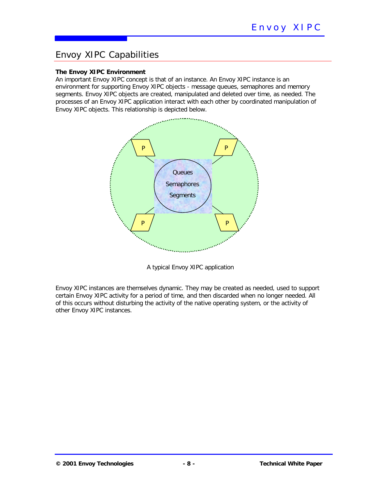### Envoy XIPC Capabilities

### **The Envoy XIPC Environment**

An important Envoy XIPC concept is that of an *instance*. An Envoy XIPC instance is an environment for supporting Envoy XIPC objects - message queues, semaphores and memory segments. Envoy XIPC objects are created, manipulated and deleted over time, as needed. The processes of an Envoy XIPC application interact with each other by coordinated manipulation of Envoy XIPC objects. This relationship is depicted below.



A typical Envoy XIPC application

Envoy XIPC instances are themselves dynamic. They may be created as needed, used to support certain Envoy XIPC activity for a period of time, and then discarded when no longer needed. All of this occurs without disturbing the activity of the native operating system, or the activity of other Envoy XIPC instances.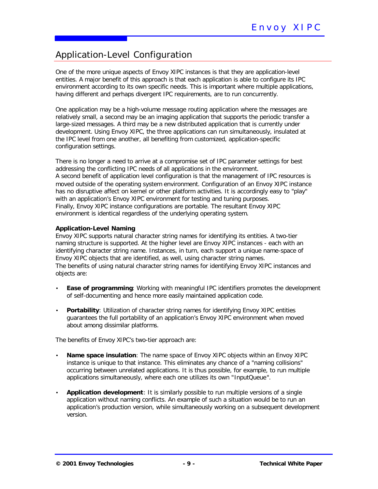# Application-Level Configuration

One of the more unique aspects of Envoy XIPC instances is that they are application-level entities. A major benefit of this approach is that each application is able to configure its IPC environment according to its own specific needs. This is important where multiple applications, having different and perhaps divergent IPC requirements, are to run concurrently.

One application may be a high-volume message routing application where the messages are relatively small, a second may be an imaging application that supports the periodic transfer a large-sized messages. A third may be a new distributed application that is currently under development. Using Envoy XIPC, the three applications can run simultaneously, insulated at the IPC level from one another, all benefiting from customized, application-specific configuration settings.

There is no longer a need to arrive at a compromise set of IPC parameter settings for best addressing the conflicting IPC needs of *all* applications in the environment. A second benefit of application level configuration is that the management of IPC resources is moved outside of the operating system environment. Configuration of an Envoy XIPC instance has no disruptive affect on kernel or other platform activities. It is accordingly easy to "play" with an application's Envoy XIPC environment for testing and tuning purposes. Finally, Envoy XIPC instance configurations are portable. The resultant Envoy XIPC environment is identical regardless of the underlying operating system.

### **Application-Level Naming**

Envoy XIPC supports natural character string names for identifying its entities. A two-tier naming structure is supported. At the higher level are Envoy XIPC instances - each with an identifying character string name. Instances, in turn, each support a unique name-space of Envoy XIPC objects that are identified, as well, using character string names. The benefits of using natural character string names for identifying Envoy XIPC instances and objects are:

- **Ease of programming**: Working with meaningful IPC identifiers promotes the development of self-documenting and hence more easily maintained application code.
- **Portability**: Utilization of character string names for identifying Envoy XIPC entities guarantees the full portability of an application's Envoy XIPC environment when moved about among dissimilar platforms.

The benefits of Envoy XIPC's two-tier approach are:

- *Name space insulation:* The name space of Envoy XIPC objects within an Envoy XIPC instance is unique to that instance. This eliminates any chance of a "naming collisions" occurring between unrelated applications. It is thus possible, for example, to run multiple applications simultaneously, where each one utilizes its own "*InputQueue*".
- *Application development:* It is similarly possible to run multiple versions of a single application without naming conflicts. An example of such a situation would be to run an application's production version, while simultaneously working on a subsequent development version.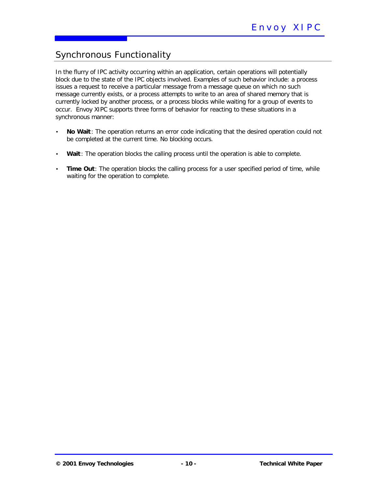# Synchronous Functionality

In the flurry of IPC activity occurring within an application, certain operations will potentially block due to the state of the IPC objects involved. Examples of such behavior include: a process issues a request to receive a particular message from a message queue on which no such message currently exists, or a process attempts to write to an area of shared memory that is currently locked by another process, or a process blocks while waiting for a group of events to occur. Envoy XIPC supports three forms of behavior for reacting to these situations in a synchronous manner:

- *No Wait :* The operation returns an error code indicating that the desired operation could not be completed at the current time. No blocking occurs.
- *Wait*: The operation blocks the calling process until the operation is able to complete.
- **Time Out**: The operation blocks the calling process for a user specified period of time, while waiting for the operation to complete.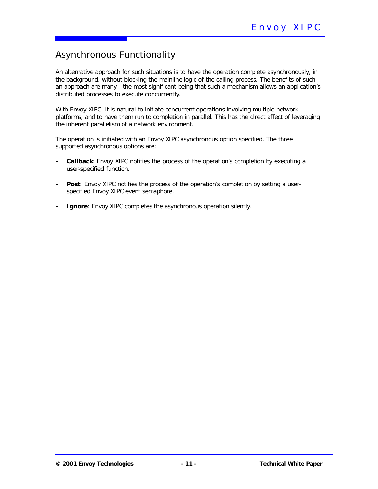# Asynchronous Functionality

An alternative approach for such situations is to have the operation complete asynchronously, in the background, without blocking the mainline logic of the calling process. The benefits of such an approach are many - the most significant being that such a mechanism allows an application's distributed processes to execute *concurrently*.

With Envoy XIPC, it is natural to initiate concurrent operations involving multiple network platforms, and to have them run to completion in parallel*.* This has the direct affect of leveraging the inherent parallelism of a network environment.

The operation is initiated with an Envoy XIPC asynchronous option specified. The three supported asynchronous options are:

- **Callback**: Envoy XIPC notifies the process of the operation's completion by executing a user-specified function.
- **Post**: Envoy XIPC notifies the process of the operation's completion by setting a userspecified Envoy XIPC event semaphore.
- **Ignore**: Envoy XIPC completes the asynchronous operation silently.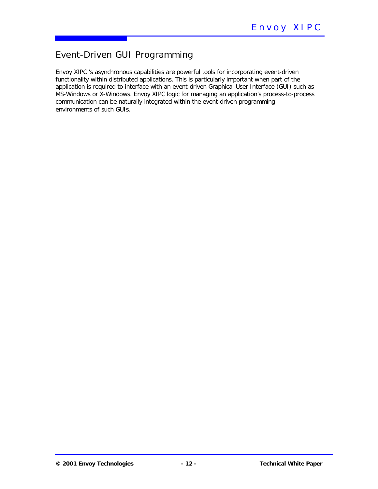# Event-Driven GUI Programming

Envoy XIPC 's asynchronous capabilities are powerful tools for incorporating event-driven functionality within distributed applications. This is particularly important when part of the application is required to interface with an event-driven Graphical User Interface (GUI) such as MS-Windows or X-Windows. Envoy XIPC logic for managing an application's process-to-process communication can be naturally integrated within the event-driven programming environments of such GUIs.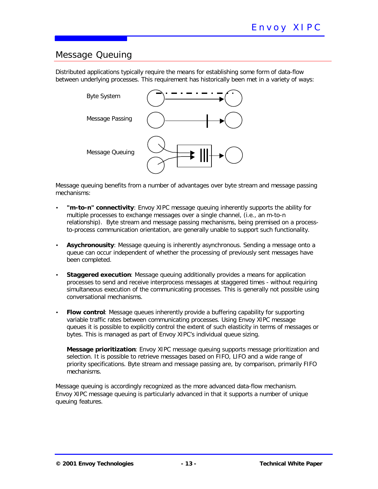### Message Queuing

Distributed applications typically require the means for establishing some form of data-flow between underlying processes. This requirement has historically been met in a variety of ways:



Message queuing benefits from a number of advantages over byte stream and message passing mechanisms:

- *"m-to-n" connectivity:* Envoy XIPC message queuing inherently supports the ability for multiple processes to exchange messages over a single channel, (i.e., an *m-to-n* relationship). Byte stream and message passing mechanisms, being premised on a processto-process communication orientation, are generally unable to support such functionality.
- *Asychronousity:* Message queuing is inherently asynchronous. Sending a message onto a queue can occur independent of whether the processing of previously sent messages have been completed.
- **Staggered execution**: Message queuing additionally provides a means for application processes to send and receive interprocess messages at staggered times - without requiring simultaneous execution of the communicating processes. This is generally not possible using conversational mechanisms.
- *Flow control:* Message queues inherently provide a buffering capability for supporting variable traffic rates between communicating processes. Using Envoy XIPC message queues it is possible to explicitly control the extent of such elasticity in terms of messages or bytes. This is managed as part of Envoy XIPC's individual queue sizing.

*Message prioritization:* Envoy XIPC message queuing supports message prioritization and selection. It is possible to retrieve messages based on FIFO, LIFO and a wide range of priority specifications. Byte stream and message passing are, by comparison, primarily FIFO mechanisms.

Message queuing is accordingly recognized as the more advanced data-flow mechanism. Envoy XIPC message queuing is particularly advanced in that it supports a number of unique queuing features.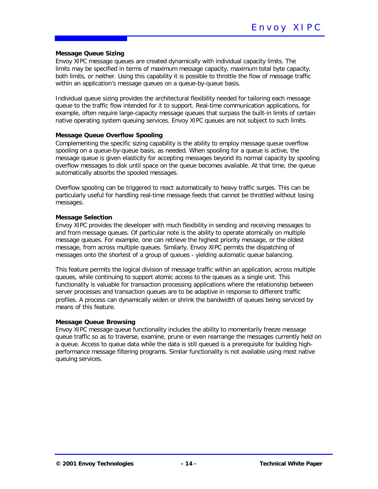#### **Message Queue Sizing**

Envoy XIPC message queues are created dynamically with individual capacity limits. The limits may be specified in terms of maximum message capacity, maximum total byte capacity, both limits, or neither. Using this capability it is possible to throttle the flow of message traffic within an application's message queues on a queue-by-queue basis.

Individual queue sizing provides the architectural flexibility needed for tailoring each message queue to the traffic flow intended for it to support. Real-time communication applications, for example, often require large-capacity message queues that surpass the built-in limits of certain native operating system queuing services. Envoy XIPC queues are not subject to such limits.

#### **Message Queue Overflow Spooling**

Complementing the specific sizing capability is the ability to employ message queue overflow spooling on a queue-by-queue basis, as needed. When spooling for a queue is active, the message queue is given elasticity for accepting messages beyond its normal capacity by spooling overflow messages to disk until space on the queue becomes available. At that time, the queue automatically absorbs the spooled messages.

Overflow spooling can be triggered to react automatically to heavy traffic surges. This can be particularly useful for handling real-time message feeds that cannot be throttled without losing messages.

#### **Message Selection**

Envoy XIPC provides the developer with much flexibility in sending and receiving messages to and from message queues. Of particular note is the ability to operate atomically on multiple message queues. For example, one can retrieve the highest priority message, or the oldest message, from across multiple queues. Similarly, Envoy XIPC permits the dispatching of messages onto the shortest of a group of queues - yielding automatic queue balancing.

This feature permits the logical division of message traffic within an application, across multiple queues, while continuing to support atomic access to the queues as a single unit. This functionality is valuable for transaction processing applications where the relationship between server processes and transaction queues are to be adaptive in response to different traffic profiles. A process can dynamically widen or shrink the bandwidth of queues being serviced by means of this feature.

#### **Message Queue Browsing**

Envoy XIPC message queue functionality includes the ability to momentarily freeze message queue traffic so as to traverse, examine, prune or even rearrange the messages currently held on a queue. Access to queue data while the data is still queued is a prerequisite for building highperformance message filtering programs. Similar functionality is not available using most native queuing services.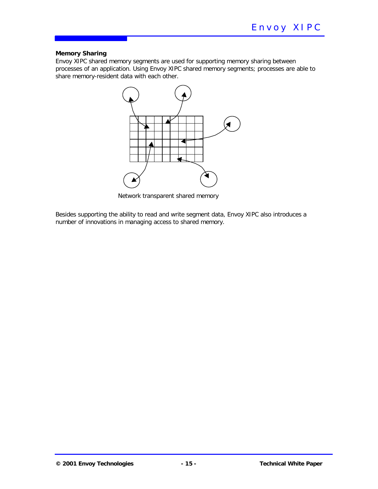### **Memory Sharing**

Envoy XIPC shared memory segments are used for supporting memory sharing between processes of an application. Using Envoy XIPC shared memory segments; processes are able to share memory-resident data with each other.



Network transparent shared memory

Besides supporting the ability to read and write segment data, Envoy XIPC also introduces a number of innovations in managing access to shared memory.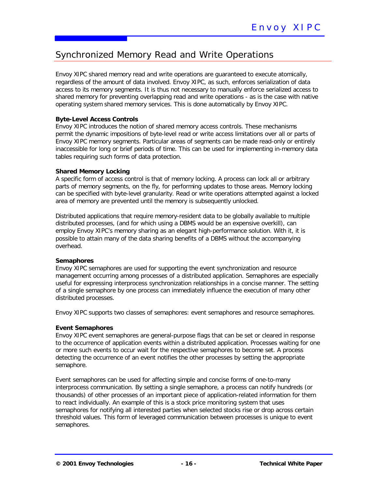# Synchronized Memory Read and Write Operations

Envoy XIPC shared memory read and write operations are guaranteed to execute atomically, regardless of the amount of data involved. Envoy XIPC, as such, enforces serialization of data access to its memory segments. It is thus not necessary to manually enforce serialized access to shared memory for preventing overlapping read and write operations - as is the case with native operating system shared memory services. This is done automatically by Envoy XIPC.

### **Byte-Level Access Controls**

Envoy XIPC introduces the notion of shared memory access controls. These mechanisms permit the dynamic impositions of byte-level read or write access limitations over all or parts of Envoy XIPC memory segments. Particular areas of segments can be made read-only or entirely inaccessible for long or brief periods of time. This can be used for implementing in-memory data tables requiring such forms of data protection.

### **Shared Memory Locking**

A specific form of access control is that of memory locking. A process can lock all or arbitrary parts of memory segments, on the fly, for performing updates to those areas. Memory locking can be specified with byte-level granularity. Read or write operations attempted against a locked area of memory are prevented until the memory is subsequently unlocked.

Distributed applications that require memory-resident data to be globally available to multiple distributed processes, (and for which using a DBMS would be an expensive overkill), can employ Envoy XIPC's memory sharing as an elegant high-performance solution. With it, it is possible to attain many of the data sharing benefits of a DBMS without the accompanying overhead.

### **Semaphores**

Envoy XIPC semaphores are used for supporting the event synchronization and resource management occurring among processes of a distributed application. Semaphores are especially useful for expressing interprocess synchronization relationships in a concise manner. The setting of a single semaphore by one process can immediately influence the execution of many other distributed processes.

Envoy XIPC supports two classes of semaphores: event semaphores and resource semaphores.

### **Event Semaphores**

Envoy XIPC event semaphores are general-purpose flags that can be *set* or *clear*ed in response to the occurrence of application events within a distributed application. Processes waiting for one or more such events to occur wait for the respective semaphores to become set. A process detecting the occurrence of an event notifies the other processes by setting the appropriate semaphore.

Event semaphores can be used for affecting simple and concise forms of one-to-many interprocess communication. By setting a single semaphore, a process can notify hundreds (or thousands) of other processes of an important piece of application-related information for them to react individually. An example of this is a stock price monitoring system that uses semaphores for notifying all interested parties when selected stocks rise or drop across certain threshold values. This form of leveraged communication between processes is unique to event semaphores.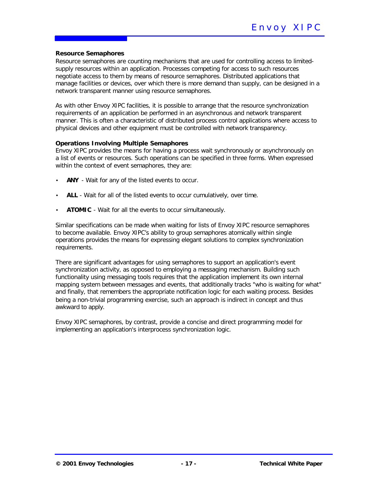#### **Resource Semaphores**

Resource semaphores are counting mechanisms that are used for controlling access to limitedsupply resources within an application. Processes competing for access to such resources negotiate access to them by means of resource semaphores. Distributed applications that manage facilities or devices, over which there is more demand than supply, can be designed in a network transparent manner using resource semaphores.

As with other Envoy XIPC facilities, it is possible to arrange that the resource synchronization requirements of an application be performed in an asynchronous and network transparent manner. This is often a characteristic of distributed process control applications where access to physical devices and other equipment must be controlled with network transparency.

#### **Operations Involving Multiple Semaphores**

Envoy XIPC *provid*es the means for having a process wait synchronously or asynchronously on a list of events or resources. Such operations can be specified in three forms. When expressed within the context of event semaphores, they are:

- *ANY* Wait for any of the listed events to occur.
- **ALL** Wait for all of the listed events to occur cumulatively, over time.
- *ATOMIC* Wait for all the events to occur simultaneously.

Similar specifications can be made when waiting for lists of Envoy XIPC resource semaphores to become available. Envoy XIPC's ability to group semaphores atomically within single operations provides the means for expressing elegant solutions to complex synchronization requirements.

There are significant advantages for using semaphores to support an application's event synchronization activity, as opposed to employing a messaging mechanism. Building such functionality using messaging tools requires that the application implement its own internal mapping system between messages and events, that additionally tracks "who is waiting for what" and finally, that remembers the appropriate notification logic for each waiting process. Besides being a non-trivial programming exercise, such an approach is indirect in concept and thus awkward to apply.

Envoy XIPC semaphores, by contrast, provide a concise and direct programming model for implementing an application's interprocess synchronization logic.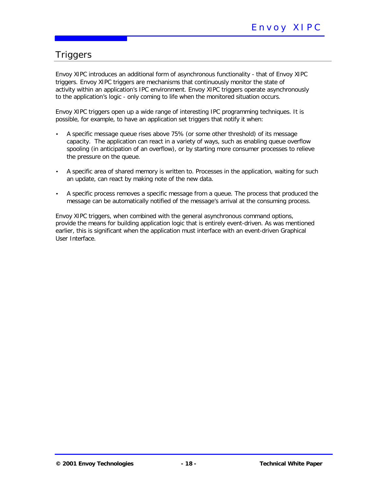# **Triggers**

Envoy XIPC introduces an additional form of asynchronous functionality - that of Envoy XIPC triggers*.* Envoy XIPC triggers are mechanisms that continuously monitor the state of activity within an application's IPC environment. Envoy XIPC triggers operate asynchronously to the application's logic - only coming to life when the monitored situation occurs.

Envoy XIPC triggers open up a wide range of interesting IPC programming techniques. It is possible, for example, to have an application set triggers that notify it when:

- A specific message queue rises above 75% (or some other threshold) of its message capacity. The application can react in a variety of ways, such as enabling queue overflow spooling (in anticipation of an overflow), or by starting more consumer processes to relieve the pressure on the queue.
- A specific area of shared memory is written to. Processes in the application, waiting for such an update, can react by making note of the new data.
- A specific process removes a specific message from a queue. The process that produced the message can be automatically notified of the message's arrival at the consuming process.

Envoy XIPC triggers, when combined with the general asynchronous command options, provide the means for building application logic that is entirely event-driven. As was mentioned earlier, this is significant when the application must interface with an event-driven Graphical User Interface.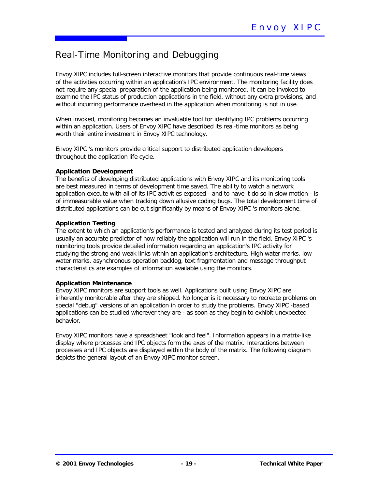# Real-Time Monitoring and Debugging

Envoy XIPC includes full-screen interactive monitors that provide continuous real-time views of the activities occurring within an application's IPC environment. The monitoring facility does not require any special preparation of the application being monitored. It can be invoked to examine the IPC status of production applications in the field, without any extra provisions, and without incurring performance overhead in the application when monitoring is not in use.

When invoked, monitoring becomes an invaluable tool for identifying IPC problems occurring within an application. Users of Envoy XIPC have described its real-time monitors as being worth their entire investment in Envoy XIPC technology.

Envoy XIPC 's monitors provide critical support to distributed application developers throughout the application life cycle.

### **Application Development**

The benefits of developing distributed applications with Envoy XIPC and its monitoring tools are best measured in terms of development time saved. The ability to watch a network application execute with all of its IPC activities exposed - and to have it do so in slow motion - is of immeasurable value when tracking down allusive coding bugs. The total development time of distributed applications can be cut significantly by means of Envoy XIPC 's monitors alone.

### **Application Testing**

The extent to which an application's performance is tested and analyzed during its test period is usually an accurate predictor of how reliably the application will run in the field. Envoy XIPC 's monitoring tools provide detailed information regarding an application's IPC activity for studying the strong and weak links within an application's architecture. High water marks, low water marks, asynchronous operation backlog, text fragmentation and message throughput characteristics are examples of information available using the monitors.

### **Application Maintenance**

Envoy XIPC monitors are support tools as well. Applications built using Envoy XIPC are inherently monitorable *after* they are shipped. No longer is it necessary to recreate problems on special "debug" versions of an application in order to study the problems. Envoy XIPC -based applications can be studied wherever they are - as soon as they begin to exhibit unexpected behavior.

Envoy XIPC monitors have a spreadsheet "look and feel". Information appears in a matrix-like display where processes and IPC objects form the axes of the matrix. Interactions between processes and IPC objects are displayed within the body of the matrix. The following diagram depicts the general layout of an Envoy XIPC monitor screen.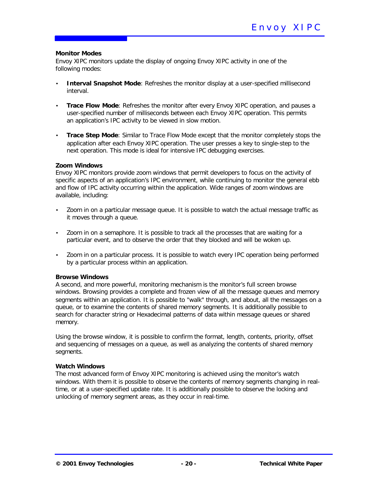#### **Monitor Modes**

Envoy XIPC monitors update the display of ongoing Envoy XIPC activity in one of the following modes:

- **Interval Snapshot Mode**: Refreshes the monitor display at a user-specified millisecond interval.
- *Trace Flow Mode:* Refreshes the monitor after every Envoy XIPC operation, and pauses a user-specified number of milliseconds between each Envoy XIPC operation. This permits an application's IPC activity to be viewed in slow motion.
- *Trace Step Mode:* Similar to Trace Flow Mode except that the monitor completely stops the application after each Envoy XIPC operation. The user presses a key to single-step to the next operation. This mode is ideal for intensive IPC debugging exercises.

#### **Zoom Windows**

Envoy XIPC monitors provide zoom windows that permit developers to focus on the activity of specific aspects of an application's IPC environment, while continuing to monitor the general ebb and flow of IPC activity occurring within the application. Wide ranges of zoom windows are available, including:

- Zoom in on a particular message queue. It is possible to watch the actual message traffic as it moves through a queue.
- Zoom in on a semaphore. It is possible to track all the processes that are waiting for a particular event, and to observe the order that they blocked and will be woken up.
- Zoom in on a particular process. It is possible to watch every IPC operation being performed by a particular process within an application.

### **Browse Windows**

A second, and more powerful, monitoring mechanism is the monitor's full screen browse windows. Browsing provides a complete and frozen view of all the message queues and memory segments within an application. It is possible to "walk" through, and about, all the messages on a queue, or to examine the contents of shared memory segments. It is additionally possible to search for character string or Hexadecimal patterns of data within message queues or shared memory.

Using the browse window, it is possible to confirm the format, length, contents, priority, offset and sequencing of messages on a queue, as well as analyzing the contents of shared memory segments.

### **Watch Windows**

The most advanced form of Envoy XIPC monitoring is achieved using the monitor's watch windows. With them it is possible to observe the contents of memory segments changing in realtime, or at a user-specified update rate. It is additionally possible to observe the locking and unlocking of memory segment areas, as they occur in real-time.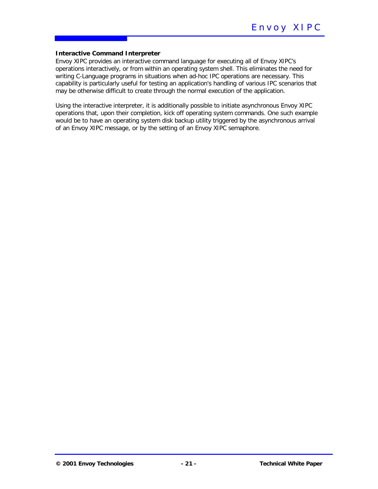#### **Interactive Command Interpreter**

Envoy XIPC provides an interactive command language for executing all of Envoy XIPC's operations interactively, or from within an operating system shell. This eliminates the need for writing C-Language programs in situations when ad-hoc IPC operations are necessary. This capability is particularly useful for testing an application's handling of various IPC scenarios that may be otherwise difficult to create through the normal execution of the application.

Using the interactive interpreter, it is additionally possible to initiate asynchronous Envoy XIPC operations that, upon their completion, kick off operating system commands. One such example would be to have an operating system disk backup utility triggered by the asynchronous arrival of an Envoy XIPC message, or by the setting of an Envoy XIPC semaphore.